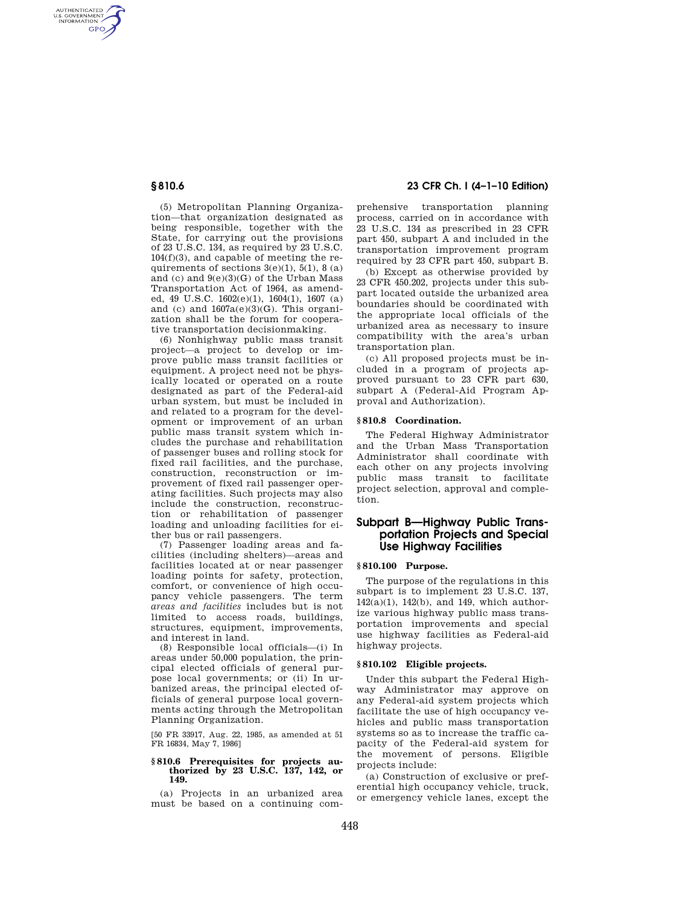AUTHENTICATED<br>U.S. GOVERNMENT<br>INFORMATION **GPO** 

> (5) Metropolitan Planning Organization—that organization designated as being responsible, together with the State, for carrying out the provisions of 23 U.S.C. 134, as required by 23 U.S.C. 104(f)(3), and capable of meeting the requirements of sections  $3(e)(1)$ ,  $5(1)$ ,  $8(a)$ and (c) and  $9(e)(3)(G)$  of the Urban Mass Transportation Act of 1964, as amended, 49 U.S.C. 1602(e)(1), 1604(1), 1607 (a) and (c) and  $1607a(e)(3)(G)$ . This organization shall be the forum for cooperative transportation decisionmaking.

> (6) Nonhighway public mass transit project—a project to develop or improve public mass transit facilities or equipment. A project need not be physically located or operated on a route designated as part of the Federal-aid urban system, but must be included in and related to a program for the development or improvement of an urban public mass transit system which includes the purchase and rehabilitation of passenger buses and rolling stock for fixed rail facilities, and the purchase, construction, reconstruction or improvement of fixed rail passenger operating facilities. Such projects may also include the construction, reconstruction or rehabilitation of passenger loading and unloading facilities for either bus or rail passengers.

> (7) Passenger loading areas and facilities (including shelters)—areas and facilities located at or near passenger loading points for safety, protection, comfort, or convenience of high occupancy vehicle passengers. The term *areas and facilities* includes but is not limited to access roads, buildings, structures, equipment, improvements, and interest in land.

> (8) Responsible local officials—(i) In areas under 50,000 population, the principal elected officials of general purpose local governments; or (ii) In urbanized areas, the principal elected officials of general purpose local governments acting through the Metropolitan Planning Organization.

> [50 FR 33917, Aug. 22, 1985, as amended at 51 FR 16834, May 7, 1986]

# **§ 810.6 Prerequisites for projects au-thorized by 23 U.S.C. 137, 142, or 149.**

(a) Projects in an urbanized area must be based on a continuing com-

## **§ 810.6 23 CFR Ch. I (4–1–10 Edition)**

prehensive transportation planning process, carried on in accordance with 23 U.S.C. 134 as prescribed in 23 CFR part 450, subpart A and included in the transportation improvement program required by 23 CFR part 450, subpart B.

(b) Except as otherwise provided by 23 CFR 450.202, projects under this subpart located outside the urbanized area boundaries should be coordinated with the appropriate local officials of the urbanized area as necessary to insure compatibility with the area's urban transportation plan.

(c) All proposed projects must be included in a program of projects approved pursuant to 23 CFR part 630, subpart A (Federal-Aid Program Approval and Authorization).

### **§ 810.8 Coordination.**

The Federal Highway Administrator and the Urban Mass Transportation Administrator shall coordinate with each other on any projects involving public mass transit to facilitate project selection, approval and completion.

## **Subpart B—Highway Public Transportation Projects and Special Use Highway Facilities**

#### **§ 810.100 Purpose.**

The purpose of the regulations in this subpart is to implement 23 U.S.C. 137, 142(a)(1), 142(b), and 149, which authorize various highway public mass transportation improvements and special use highway facilities as Federal-aid highway projects.

#### **§ 810.102 Eligible projects.**

Under this subpart the Federal Highway Administrator may approve on any Federal-aid system projects which facilitate the use of high occupancy vehicles and public mass transportation systems so as to increase the traffic capacity of the Federal-aid system for the movement of persons. Eligible projects include:

(a) Construction of exclusive or preferential high occupancy vehicle, truck, or emergency vehicle lanes, except the